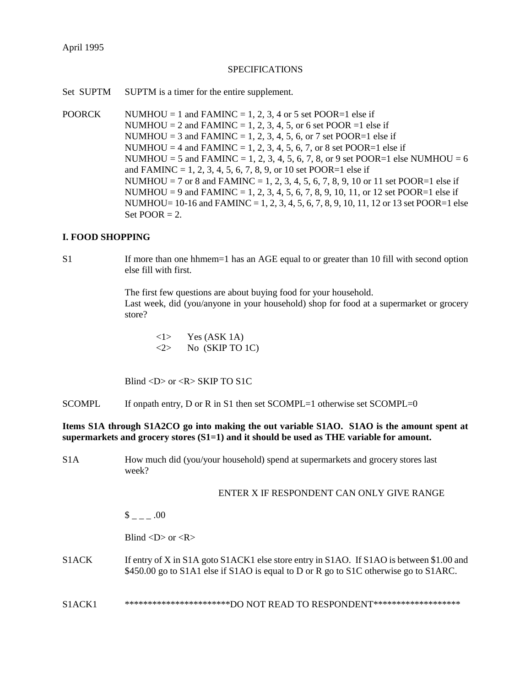# **SPECIFICATIONS**

Set SUPTM SUPTM is a timer for the entire supplement.

POORCK NUMHOU = 1 and FAMINC = 1, 2, 3, 4 or 5 set POOR=1 else if NUMHOU = 2 and FAMINC = 1, 2, 3, 4, 5, or 6 set POOR = 1 else if NUMHOU = 3 and FAMINC = 1, 2, 3, 4, 5, 6, or 7 set POOR=1 else if NUMHOU = 4 and FAMINC = 1, 2, 3, 4, 5, 6, 7, or 8 set POOR=1 else if NUMHOU = 5 and FAMINC = 1, 2, 3, 4, 5, 6, 7, 8, or 9 set POOR=1 else NUMHOU = 6 and FAMINC = 1, 2, 3, 4, 5, 6, 7, 8, 9, or 10 set POOR=1 else if NUMHOU = 7 or 8 and FAMINC = 1, 2, 3, 4, 5, 6, 7, 8, 9, 10 or 11 set POOR=1 else if NUMHOU = 9 and FAMINC = 1, 2, 3, 4, 5, 6, 7, 8, 9, 10, 11, or 12 set POOR=1 else if NUMHOU=  $10-16$  and FAMINC = 1, 2, 3, 4, 5, 6, 7, 8, 9, 10, 11, 12 or 13 set POOR=1 else Set  $POOR = 2$ .

# **I. FOOD SHOPPING**

S1 If more than one hhmem=1 has an AGE equal to or greater than 10 fill with second option else fill with first.

> The first few questions are about buying food for your household. Last week, did (you/anyone in your household) shop for food at a supermarket or grocery store?

 $\langle$ 1> Yes (ASK 1A)  $\langle 2 \rangle$  No (SKIP TO 1C)

Blind  $\langle D \rangle$  or  $\langle R \rangle$  SKIP TO S1C

SCOMPL If onpath entry, D or R in S1 then set SCOMPL=1 otherwise set SCOMPL=0

**Items S1A through S1A2CO go into making the out variable S1AO. S1AO is the amount spent at supermarkets and grocery stores (S1=1) and it should be used as THE variable for amount.**

S1A How much did (you/your household) spend at supermarkets and grocery stores last week?

# ENTER X IF RESPONDENT CAN ONLY GIVE RANGE

 $\frac{\$}{\$}$  =  $-$  .00

Blind  $\langle D \rangle$  or  $\langle R \rangle$ 

- S1ACK If entry of X in S1A goto S1ACK1 else store entry in S1AO. If S1AO is between \$1.00 and \$450.00 go to S1A1 else if S1AO is equal to D or R go to S1C otherwise go to S1ARC.
- S1ACK1 \*\*\*\*\*\*\*\*\*\*\*\*\*\*\*\*\*\*\*\*\*\*\*\*DO NOT READ TO RESPONDENT\*\*\*\*\*\*\*\*\*\*\*\*\*\*\*\*\*\*\*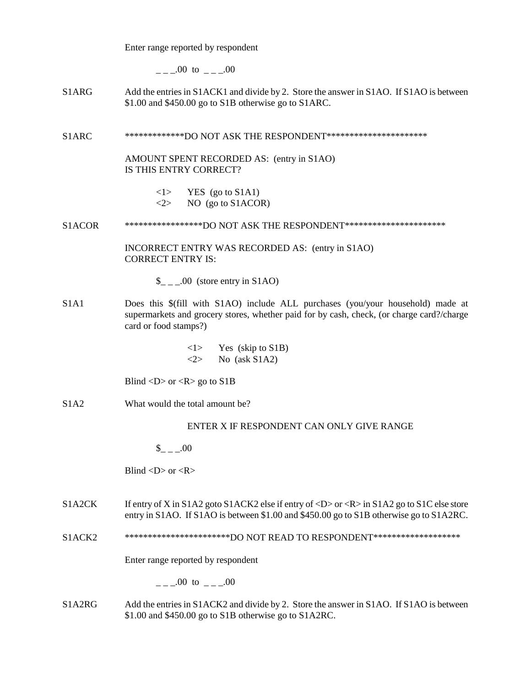Enter range reported by respondent

 $\mu = 0.00 \text{ to } \mu = 0.00$ 

S1ARG Add the entries in S1ACK1 and divide by 2. Store the answer in S1AO. If S1AO is between \$1.00 and \$450.00 go to S1B otherwise go to S1ARC.

S1ARC \*\*\*\*\*\*\*\*\*\*\*\*\*DO NOT ASK THE RESPONDENT\*\*\*\*\*\*\*\*\*\*\*\*\*\*\*\*\*\*\*\*\*\*

AMOUNT SPENT RECORDED AS: (entry in S1AO) IS THIS ENTRY CORRECT?

> $\langle 1 \rangle$  YES (go to S1A1)  $\langle 2 \rangle$  NO (go to S1ACOR)

S1ACOR \*\*\*\*\*\*\*\*\*\*\*\*\*\*\*\*DO NOT ASK THE RESPONDENT\*\*\*\*\*\*\*\*\*\*\*\*\*\*\*\*\*\*\*\*\*\*\*

INCORRECT ENTRY WAS RECORDED AS: (entry in S1AO) CORRECT ENTRY IS:

 $\_{$   $\_\_$   $\_\_$  00 (store entry in S1AO)

S1A1 Does this \$(fill with S1AO) include ALL purchases (you/your household) made at supermarkets and grocery stores, whether paid for by cash, check, (or charge card?/charge card or food stamps?)

> <1> Yes (skip to S1B)  $\langle 2 \rangle$  No (ask S1A2)

Blind  $\langle D \rangle$  or  $\langle R \rangle$  go to S1B

S1A2 What would the total amount be?

## ENTER X IF RESPONDENT CAN ONLY GIVE RANGE

 $$ 00$ 

Blind  $\langle D \rangle$  or  $\langle R \rangle$ 

S1A2CK If entry of X in S1A2 goto S1ACK2 else if entry of <D> or <R> in S1A2 go to S1C else store entry in S1AO. If S1AO is between \$1.00 and \$450.00 go to S1B otherwise go to S1A2RC.

S1ACK2 \*\*\*\*\*\*\*\*\*\*\*\*\*\*\*\*\*\*\*\*\*\*\*DO NOT READ TO RESPONDENT\*\*\*\*\*\*\*\*\*\*\*\*\*\*\*\*\*\*\*

Enter range reported by respondent

 $\frac{1}{2} - 0.00 \text{ to } \frac{1}{2} - 0.00$ 

S1A2RG Add the entries in S1ACK2 and divide by 2. Store the answer in S1AO. If S1AO is between \$1.00 and \$450.00 go to S1B otherwise go to S1A2RC.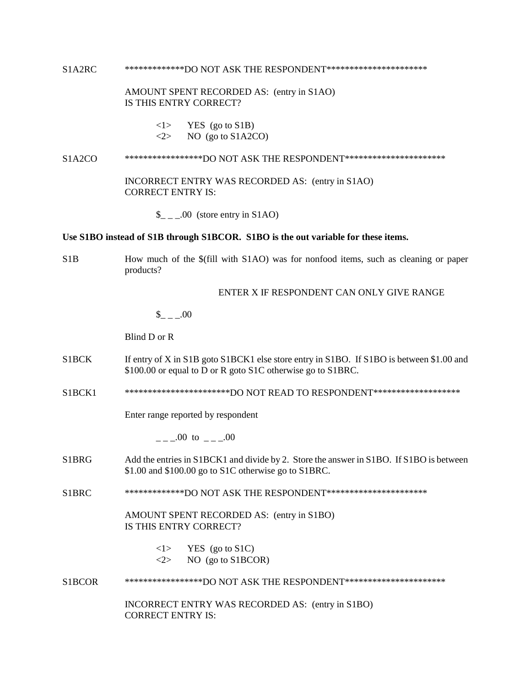S1A2RC \*\*\*\*\*\*\*\*\*\*\*\*\*DO NOT ASK THE RESPONDENT\*\*\*\*\*\*\*\*\*\*\*\*\*\*\*\*\*\*\*\*\*\*

### AMOUNT SPENT RECORDED AS: (entry in S1AO) IS THIS ENTRY CORRECT?

- $\langle 1 \rangle$  YES (go to S1B)
- $\langle 2 \rangle$  NO (go to S1A2CO)

#### S1A2CO \*\*\*\*\*\*\*\*\*\*\*\*\*\*\*\*\*DO NOT ASK THE RESPONDENT\*\*\*\*\*\*\*\*\*\*\*\*\*\*\*\*\*\*\*\*\*\*

INCORRECT ENTRY WAS RECORDED AS: (entry in S1AO) CORRECT ENTRY IS:

 $\_{\_ \_ \_ \_0}$  (store entry in S1AO)

#### **Use S1BO instead of S1B through S1BCOR. S1BO is the out variable for these items.**

S1B How much of the \$(fill with S1AO) was for nonfood items, such as cleaning or paper products?

# ENTER X IF RESPONDENT CAN ONLY GIVE RANGE

 $_{- -100}$ 

Blind D or R

- S1BCK If entry of X in S1B goto S1BCK1 else store entry in S1BO. If S1BO is between \$1.00 and \$100.00 or equal to D or R goto S1C otherwise go to S1BRC.
- S1BCK1 \*\*\*\*\*\*\*\*\*\*\*\*\*\*\*\*\*\*\*\*\*\*\*\*\*DO NOT READ TO RESPONDENT\*\*\*\*\*\*\*\*\*\*\*\*\*\*\*\*\*\*

Enter range reported by respondent

 $.00 \text{ to } .00$ 

- S1BRG Add the entries in S1BCK1 and divide by 2. Store the answer in S1BO. If S1BO is between \$1.00 and \$100.00 go to S1C otherwise go to S1BRC.
- S1BRC \*\*\*\*\*\*\*\*\*\*\*\*\*DO NOT ASK THE RESPONDENT\*\*\*\*\*\*\*\*\*\*\*\*\*\*\*\*\*\*\*\*\*\*

AMOUNT SPENT RECORDED AS: (entry in S1BO) IS THIS ENTRY CORRECT?

> $\langle 1 \rangle$  YES (go to S1C)  $\langle 2 \rangle$  NO (go to S1BCOR)

S1BCOR \*\*\*\*\*\*\*\*\*\*\*\*\*\*\*\*\*DO NOT ASK THE RESPONDENT\*\*\*\*\*\*\*\*\*\*\*\*\*\*\*\*\*\*\*\*\*\*

INCORRECT ENTRY WAS RECORDED AS: (entry in S1BO) CORRECT ENTRY IS: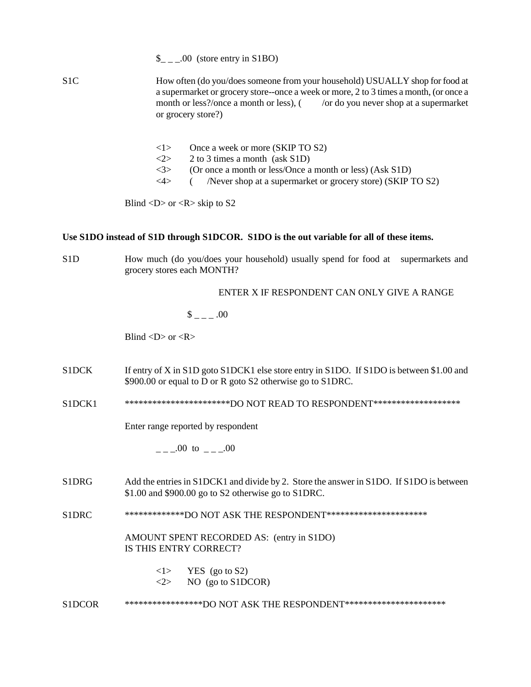$\frac{\S_{-}}{\S_{-}}$ .00 (store entry in S1BO) S1C How often (do you/does someone from your household) USUALLY shop for food at a supermarket or grocery store--once a week or more, 2 to 3 times a month, (or once a month or less?/once a month or less),  $\frac{1}{\sqrt{a}}$  /or do you never shop at a supermarket or grocery store?)

- <1> Once a week or more (SKIP TO S2)
- $\langle 2 \rangle$  2 to 3 times a month (ask S1D)
- $\langle 3 \rangle$  (Or once a month or less/Once a month or less) (Ask S1D)
- <4> ( /Never shop at a supermarket or grocery store) (SKIP TO S2)

Blind  $\langle D \rangle$  or  $\langle R \rangle$  skip to S2

# **Use S1DO instead of S1D through S1DCOR. S1DO is the out variable for all of these items.**

S1D How much (do you/does your household) usually spend for food at supermarkets and grocery stores each MONTH?

ENTER X IF RESPONDENT CAN ONLY GIVE A RANGE

# $$_{---}.00$

Blind  $\langle D \rangle$  or  $\langle R \rangle$ 

- S1DCK If entry of X in S1D goto S1DCK1 else store entry in S1DO. If S1DO is between \$1.00 and \$900.00 or equal to D or R goto S2 otherwise go to S1DRC.
- S1DCK1 \*\*\*\*\*\*\*\*\*\*\*\*\*\*\*\*\*\*\*\*\*\*\*\*\*\*DO NOT READ TO RESPONDENT\*\*\*\*\*\*\*\*\*\*\*\*\*\*\*\*\*\*\*\*

Enter range reported by respondent

 $.00 \text{ to } .00$ 

S1DRG Add the entries in S1DCK1 and divide by 2. Store the answer in S1DO. If S1DO is between \$1.00 and \$900.00 go to S2 otherwise go to S1DRC.

S1DRC \*\*\*\*\*\*\*\*\*\*\*\*\*\*DO NOT ASK THE RESPONDENT\*\*\*\*\*\*\*\*\*\*\*\*\*\*\*\*\*\*\*\*\*\*\*

AMOUNT SPENT RECORDED AS: (entry in S1DO) IS THIS ENTRY CORRECT?

- $\langle 1 \rangle$  YES (go to S2)  $\langle 2 \rangle$  NO (go to S1DCOR)
- S1DCOR \*\*\*\*\*\*\*\*\*\*\*\*\*\*\*\*DO NOT ASK THE RESPONDENT\*\*\*\*\*\*\*\*\*\*\*\*\*\*\*\*\*\*\*\*\*\*\*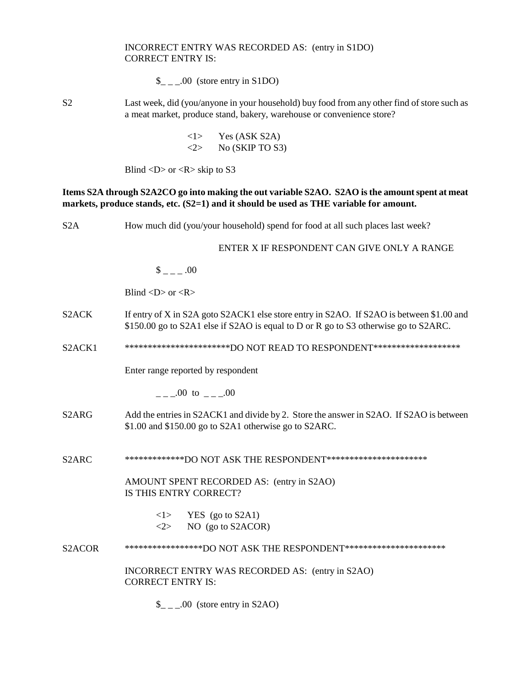# INCORRECT ENTRY WAS RECORDED AS: (entry in S1DO) CORRECT ENTRY IS:

 $\frac{1}{2}$  \_ \_00 (store entry in S1DO)

S2 Last week, did (you/anyone in your household) buy food from any other find of store such as a meat market, produce stand, bakery, warehouse or convenience store?

> $\langle$ 1> Yes (ASK S2A)  $\langle 2 \rangle$  No (SKIP TO S3)

Blind  $\langle D \rangle$  or  $\langle R \rangle$  skip to S3

# **Items S2A through S2A2CO go into making the out variable S2AO. S2AO is the amount spent at meat markets, produce stands, etc. (S2=1) and it should be used as THE variable for amount.**

| S <sub>2</sub> A                | How much did (you/your household) spend for food at all such places last week?                                                                                                  |  |  |
|---------------------------------|---------------------------------------------------------------------------------------------------------------------------------------------------------------------------------|--|--|
|                                 | ENTER X IF RESPONDENT CAN GIVE ONLY A RANGE                                                                                                                                     |  |  |
|                                 | $\frac{1}{2}$ = 00                                                                                                                                                              |  |  |
|                                 | Blind $\langle D \rangle$ or $\langle R \rangle$                                                                                                                                |  |  |
| S <sub>2</sub> ACK              | If entry of X in S2A goto S2ACK1 else store entry in S2AO. If S2AO is between \$1.00 and<br>\$150.00 go to S2A1 else if S2AO is equal to D or R go to S3 otherwise go to S2ARC. |  |  |
| S <sub>2</sub> ACK <sub>1</sub> | ***********************DO NOT READ TO RESPONDENT********************                                                                                                            |  |  |
|                                 | Enter range reported by respondent                                                                                                                                              |  |  |
|                                 |                                                                                                                                                                                 |  |  |
| S <sub>2</sub> ARG              | Add the entries in S2ACK1 and divide by 2. Store the answer in S2AO. If S2AO is between<br>\$1.00 and \$150.00 go to S2A1 otherwise go to S2ARC.                                |  |  |
| S <sub>2</sub> ARC              | **************DO NOT ASK THE RESPONDENT***********************                                                                                                                  |  |  |
|                                 | AMOUNT SPENT RECORDED AS: (entry in S2AO)<br>IS THIS ENTRY CORRECT?                                                                                                             |  |  |
|                                 | $\langle 1 \rangle$ YES (go to S2A1)<br>NO (go to S2ACOR)<br><2>                                                                                                                |  |  |
| S <sub>2</sub> ACOR             | ******************DO NOT ASK THE RESPONDENT**********************                                                                                                               |  |  |
|                                 | INCORRECT ENTRY WAS RECORDED AS: (entry in S2AO)<br><b>CORRECT ENTRY IS:</b>                                                                                                    |  |  |
|                                 | $\_{$ _ _ .00 (store entry in S2AO)                                                                                                                                             |  |  |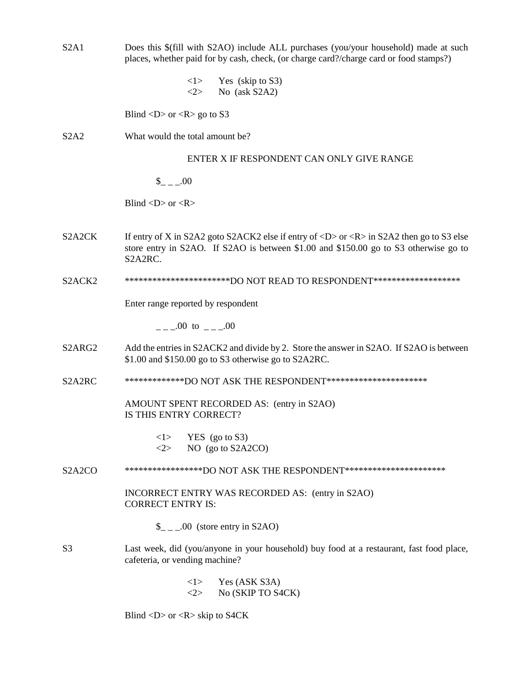| S2A1                             | Does this \$(fill with S2AO) include ALL purchases (you/your household) made at such<br>places, whether paid for by cash, check, (or charge card?/charge card or food stamps?)                                              |
|----------------------------------|-----------------------------------------------------------------------------------------------------------------------------------------------------------------------------------------------------------------------------|
|                                  | Yes (skip to S3)<br><1><br><2><br>No (ask S2A2)                                                                                                                                                                             |
|                                  | Blind $\langle D \rangle$ or $\langle R \rangle$ go to S3                                                                                                                                                                   |
| S2A2                             | What would the total amount be?                                                                                                                                                                                             |
|                                  | ENTER X IF RESPONDENT CAN ONLY GIVE RANGE                                                                                                                                                                                   |
|                                  | $_{--.00}$                                                                                                                                                                                                                  |
|                                  | Blind $\langle D \rangle$ or $\langle R \rangle$                                                                                                                                                                            |
| S <sub>2</sub> A <sub>2</sub> CK | If entry of X in S2A2 goto S2ACK2 else if entry of $\langle D \rangle$ or $\langle R \rangle$ in S2A2 then go to S3 else<br>store entry in S2AO. If S2AO is between \$1.00 and \$150.00 go to S3 otherwise go to<br>S2A2RC. |
| S <sub>2</sub> ACK <sub>2</sub>  | ***********************DO NOT READ TO RESPONDENT*******************                                                                                                                                                         |
|                                  | Enter range reported by respondent                                                                                                                                                                                          |
|                                  | $\mu = 0.00 \text{ to } \mu = 0.00$                                                                                                                                                                                         |
| S <sub>2</sub> ARG <sub>2</sub>  | Add the entries in S2ACK2 and divide by 2. Store the answer in S2AO. If S2AO is between<br>\$1.00 and \$150.00 go to S3 otherwise go to S2A2RC.                                                                             |
| S2A2RC                           | **************DO NOT ASK THE RESPONDENT***********************                                                                                                                                                              |
|                                  | AMOUNT SPENT RECORDED AS: (entry in S2AO)<br>IS THIS ENTRY CORRECT?                                                                                                                                                         |
|                                  | $\langle 1 \rangle$ YES (go to S3)<br>NO (go to S2A2CO)<br>$<\!\!2\!\!>$                                                                                                                                                    |
| S <sub>2</sub> A <sub>2</sub> CO | ******************DO NOT ASK THE RESPONDENT***********************                                                                                                                                                          |
|                                  | INCORRECT ENTRY WAS RECORDED AS: (entry in S2AO)<br><b>CORRECT ENTRY IS:</b>                                                                                                                                                |
|                                  | $\_{$ _ _ .00 (store entry in S2AO)                                                                                                                                                                                         |
| S <sub>3</sub>                   | Last week, did (you/anyone in your household) buy food at a restaurant, fast food place,<br>cafeteria, or vending machine?                                                                                                  |
|                                  | Yes (ASK S3A)<br>< l ><br>No (SKIP TO S4CK)<br>$<\!\!2\!\!>$                                                                                                                                                                |

Blind <D> or <R> skip to S4CK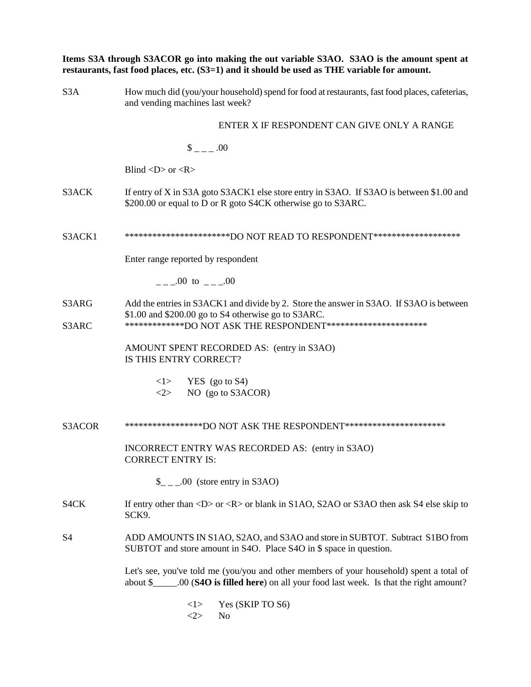|                | Items S3A through S3ACOR go into making the out variable S3AO. S3AO is the amount spent at<br>restaurants, fast food places, etc. (S3=1) and it should be used as THE variable for amount.                       |
|----------------|------------------------------------------------------------------------------------------------------------------------------------------------------------------------------------------------------------------|
| S3A            | How much did (you/your household) spend for food at restaurants, fast food places, cafeterias,<br>and vending machines last week?                                                                                |
|                | ENTER X IF RESPONDENT CAN GIVE ONLY A RANGE                                                                                                                                                                      |
|                | $\frac{1}{2}$ = 00                                                                                                                                                                                               |
|                | Blind $\langle D \rangle$ or $\langle R \rangle$                                                                                                                                                                 |
| S3ACK          | If entry of X in S3A goto S3ACK1 else store entry in S3AO. If S3AO is between \$1.00 and<br>\$200.00 or equal to D or R goto S4CK otherwise go to S3ARC.                                                         |
| S3ACK1         | *************************DO NOT READ TO RESPONDENT********************                                                                                                                                           |
|                | Enter range reported by respondent                                                                                                                                                                               |
|                | $\mu$ = $\mu$ 00 to $\mu$ = $\mu$ 00                                                                                                                                                                             |
| S3ARG<br>S3ARC | Add the entries in S3ACK1 and divide by 2. Store the answer in S3AO. If S3AO is between<br>\$1.00 and \$200.00 go to S4 otherwise go to S3ARC.<br>**************DO NOT ASK THE RESPONDENT*********************** |
|                | AMOUNT SPENT RECORDED AS: (entry in S3AO)<br>IS THIS ENTRY CORRECT?                                                                                                                                              |
|                | $\langle 1 \rangle$ YES (go to S4)<br>NO (go to S3ACOR)<br>$<\!\!2\!\!>$                                                                                                                                         |
| S3ACOR         | ******************DO NOT ASK THE RESPONDENT***********************                                                                                                                                               |
|                | INCORRECT ENTRY WAS RECORDED AS: (entry in S3AO)<br><b>CORRECT ENTRY IS:</b>                                                                                                                                     |
|                | $\_{$ _ _ .00 (store entry in S3AO)                                                                                                                                                                              |
| S4CK           | If entry other than $\langle D \rangle$ or $\langle R \rangle$ or blank in S1AO, S2AO or S3AO then ask S4 else skip to<br>SCK9.                                                                                  |
| S4             | ADD AMOUNTS IN S1AO, S2AO, and S3AO and store in SUBTOT. Subtract S1BO from<br>SUBTOT and store amount in S4O. Place S4O in \$ space in question.                                                                |
|                | Let's see, you've told me (you/you and other members of your household) spent a total of<br>about \$_______.00 (S4O is filled here) on all your food last week. Is that the right amount?                        |
|                | Yes (SKIP TO S6)<br><1>                                                                                                                                                                                          |

 $\langle 2 \rangle$  No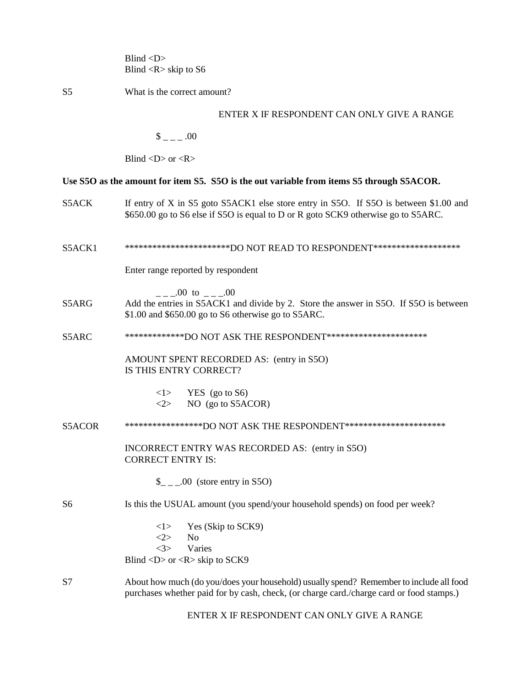Blind <D> Blind <R> skip to S6

S5 What is the correct amount?

## ENTER X IF RESPONDENT CAN ONLY GIVE A RANGE

 $\sim -1.00$ 

Blind  $\langle D \rangle$  or  $\langle R \rangle$ 

# **Use S5O as the amount for item S5. S5O is the out variable from items S5 through S5ACOR.**

- S5ACK If entry of X in S5 goto S5ACK1 else store entry in S5O. If S5O is between \$1.00 and \$650.00 go to S6 else if S5O is equal to D or R goto SCK9 otherwise go to S5ARC.
- S5ACK1 \*\*\*\*\*\*\*\*\*\*\*\*\*\*\*\*\*\*\*\*\*\*\*\*DO NOT READ TO RESPONDENT\*\*\*\*\*\*\*\*\*\*\*\*\*\*\*\*\*\*

Enter range reported by respondent

 $00 \text{ to }$   $00$ 

- S5ARG Add the entries in S5ACK1 and divide by 2. Store the answer in S5O. If S5O is between \$1.00 and \$650.00 go to S6 otherwise go to S5ARC.
- S5ARC \*\*\*\*\*\*\*\*\*\*\*\*\*DO NOT ASK THE RESPONDENT\*\*\*\*\*\*\*\*\*\*\*\*\*\*\*\*\*\*\*\*\*\*

AMOUNT SPENT RECORDED AS: (entry in S5O) IS THIS ENTRY CORRECT?

> $\langle 1 \rangle$  YES (go to S6)  $\langle 2 \rangle$  NO (go to S5ACOR)

#### S5ACOR \*\*\*\*\*\*\*\*\*\*\*\*\*\*\*\*\*DO NOT ASK THE RESPONDENT\*\*\*\*\*\*\*\*\*\*\*\*\*\*\*\*\*\*\*\*\*\*

INCORRECT ENTRY WAS RECORDED AS: (entry in S5O) CORRECT ENTRY IS:

 $\frac{\S_{-}}{\S_{-}}$ .00 (store entry in S5O)

#### S6 Is this the USUAL amount (you spend/your household spends) on food per week?

 $\langle 1 \rangle$  Yes (Skip to SCK9) <2> No <3> Varies Blind  $\langle D \rangle$  or  $\langle R \rangle$  skip to SCK9

# S7 About how much (do you/does your household) usually spend? Remember to include all food purchases whether paid for by cash, check, (or charge card./charge card or food stamps.)

ENTER X IF RESPONDENT CAN ONLY GIVE A RANGE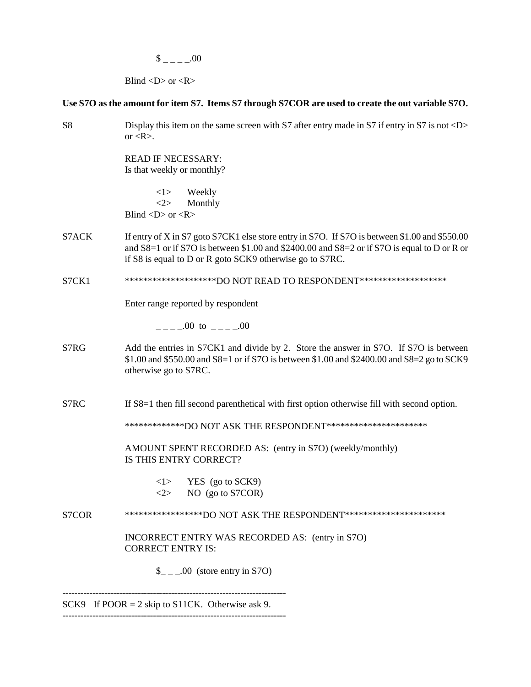$$$   $_{---}$   $-00$ 

Blind  $\langle D \rangle$  or  $\langle R \rangle$ 

# **Use S7O as the amount for item S7. Items S7 through S7COR are used to create the out variable S7O.**

| S <sub>8</sub> | Display this item on the same screen with S7 after entry made in S7 if entry in S7 is not $\langle D \rangle$<br>or $\langle R \rangle$ .                                                                                                                    |
|----------------|--------------------------------------------------------------------------------------------------------------------------------------------------------------------------------------------------------------------------------------------------------------|
|                | <b>READ IF NECESSARY:</b><br>Is that weekly or monthly?                                                                                                                                                                                                      |
|                | <1><br>Weekly<br><2><br>Monthly<br>Blind < $D$ > or < $R$ >                                                                                                                                                                                                  |
| S7ACK          | If entry of X in S7 goto S7CK1 else store entry in S7O. If S7O is between \$1.00 and \$550.00<br>and $S8=1$ or if S7O is between \$1.00 and \$2400.00 and $S8=2$ or if S7O is equal to D or R or<br>if S8 is equal to D or R goto SCK9 otherwise go to S7RC. |
| S7CK1          | *********************DO NOT READ TO RESPONDENT********************                                                                                                                                                                                           |
|                | Enter range reported by respondent                                                                                                                                                                                                                           |
|                | $---00$ to $---00$                                                                                                                                                                                                                                           |
| S7RG           | Add the entries in S7CK1 and divide by 2. Store the answer in S7O. If S7O is between<br>\$1.00 and \$550.00 and S8=1 or if S7O is between \$1.00 and \$2400.00 and S8=2 go to SCK9<br>otherwise go to S7RC.                                                  |
| S7RC           | If S8=1 then fill second parenthetical with first option otherwise fill with second option.                                                                                                                                                                  |
|                | **************DO NOT ASK THE RESPONDENT***********************                                                                                                                                                                                               |
|                | AMOUNT SPENT RECORDED AS: (entry in S7O) (weekly/monthly)<br>IS THIS ENTRY CORRECT?                                                                                                                                                                          |
|                | $\langle 1 \rangle$ YES (go to SCK9)<br>NO (go to S7COR)<br>$<\!\!2\!\!>$                                                                                                                                                                                    |
| S7COR          | ******************DO NOT ASK THE RESPONDENT***********************                                                                                                                                                                                           |
|                | INCORRECT ENTRY WAS RECORDED AS: (entry in S7O)<br><b>CORRECT ENTRY IS:</b>                                                                                                                                                                                  |
|                | $\_{$ _ _ .00 (store entry in S7O)                                                                                                                                                                                                                           |

SCK9 If  $POOR = 2$  skip to S11CK. Otherwise ask 9. --------------------------------------------------------------------------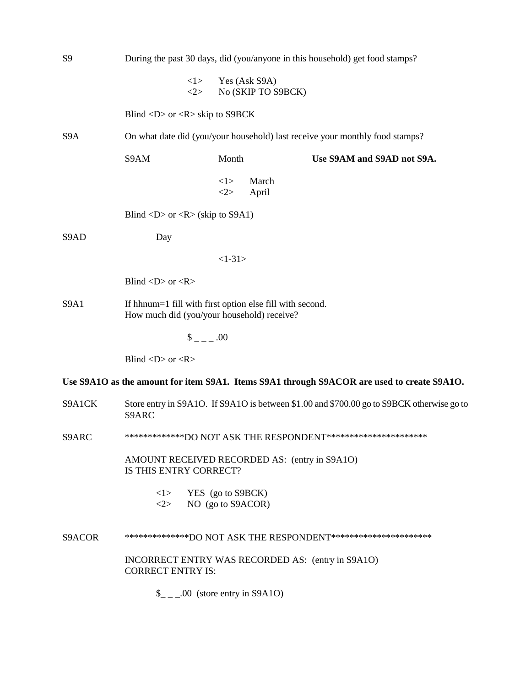| S <sub>9</sub>      | During the past 30 days, did (you/anyone in this household) get food stamps?                           |                   |                                     |                            |  |
|---------------------|--------------------------------------------------------------------------------------------------------|-------------------|-------------------------------------|----------------------------|--|
|                     | <1><br><2>                                                                                             |                   | Yes (Ask S9A)<br>No (SKIP TO S9BCK) |                            |  |
|                     | Blind $\langle D \rangle$ or $\langle R \rangle$ skip to S9BCK                                         |                   |                                     |                            |  |
| S <sub>9</sub> A    | On what date did (you/your household) last receive your monthly food stamps?                           |                   |                                     |                            |  |
|                     | S9AM                                                                                                   | Month             |                                     | Use S9AM and S9AD not S9A. |  |
|                     |                                                                                                        | <1><br>2>         | March<br>April                      |                            |  |
|                     | Blind <d> or <r> (skip to S9A1)</r></d>                                                                |                   |                                     |                            |  |
| S9AD                | Day                                                                                                    |                   |                                     |                            |  |
|                     |                                                                                                        | $<1-31>$          |                                     |                            |  |
|                     | Blind < $D$ > or < $R$ >                                                                               |                   |                                     |                            |  |
| S9A1                | If hhnum=1 fill with first option else fill with second.<br>How much did (you/your household) receive? |                   |                                     |                            |  |
|                     | $\frac{1}{2}$ = 00                                                                                     |                   |                                     |                            |  |
|                     | Blind $\langle D \rangle$ or $\langle R \rangle$                                                       |                   |                                     |                            |  |
|                     | Use S9A1O as the amount for item S9A1. Items S9A1 through S9ACOR are used to create S9A1O.             |                   |                                     |                            |  |
| S9A1CK              | Store entry in S9A1O. If S9A1O is between \$1.00 and \$700.00 go to S9BCK otherwise go to<br>S9ARC     |                   |                                     |                            |  |
| S9ARC               | **************DO NOT ASK THE RESPONDENT***********************                                         |                   |                                     |                            |  |
|                     | AMOUNT RECEIVED RECORDED AS: (entry in S9A1O)<br>IS THIS ENTRY CORRECT?                                |                   |                                     |                            |  |
|                     | $\langle 1 \rangle$ YES (go to S9BCK)<br>$<\!\!2\!\!>$                                                 | NO (go to S9ACOR) |                                     |                            |  |
| S <sub>9</sub> ACOR | ***************DO NOT ASK THE RESPONDENT***********************                                        |                   |                                     |                            |  |
|                     | INCORRECT ENTRY WAS RECORDED AS: (entry in S9A1O)<br><b>CORRECT ENTRY IS:</b>                          |                   |                                     |                            |  |

 $\frac{\S_{-}}{\S_{-}}$  .00 (store entry in S9A1O)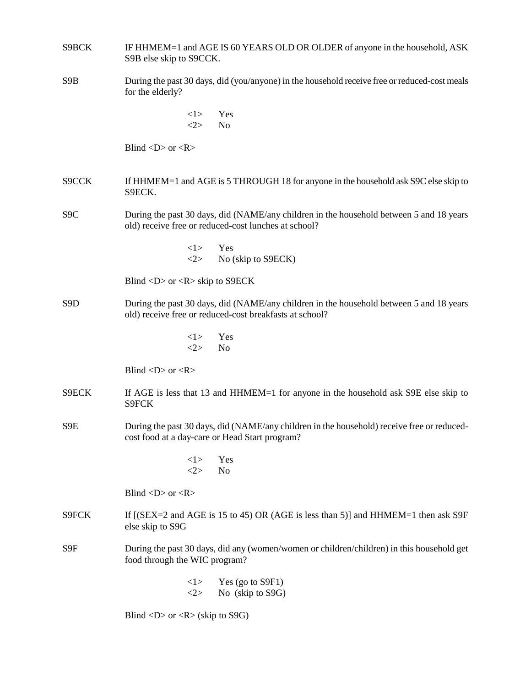| S9BCK            | IF HHMEM=1 and AGE IS 60 YEARS OLD OR OLDER of anyone in the household, ASK<br>S9B else skip to S9CCK.                                                           |
|------------------|------------------------------------------------------------------------------------------------------------------------------------------------------------------|
| S <sub>9</sub> B | During the past 30 days, did (you/anyone) in the household receive free or reduced-cost meals<br>for the elderly?                                                |
|                  | <1><br>Yes<br>2><br>N <sub>o</sub>                                                                                                                               |
|                  | Blind $\langle D \rangle$ or $\langle R \rangle$                                                                                                                 |
| S9CCK            | If HHMEM=1 and AGE is 5 THROUGH 18 for anyone in the household ask S9C else skip to<br>S9ECK.                                                                    |
| S <sub>9</sub> C | During the past 30 days, did (NAME/any children in the household between 5 and 18 years<br>old) receive free or reduced-cost lunches at school?                  |
|                  | <1><br>Yes<br><2><br>No (skip to S9ECK)                                                                                                                          |
|                  | Blind $\langle D \rangle$ or $\langle R \rangle$ skip to S9ECK                                                                                                   |
| S <sub>9</sub> D | During the past 30 days, did (NAME/any children in the household between 5 and 18 years<br>old) receive free or reduced-cost breakfasts at school?               |
|                  | <1><br>Yes<br>$<\!\!2\!\!>$<br>N <sub>o</sub>                                                                                                                    |
|                  | Blind $\langle D \rangle$ or $\langle R \rangle$                                                                                                                 |
| S9ECK            | If AGE is less that 13 and HHMEM=1 for anyone in the household ask S9E else skip to<br>S9FCK                                                                     |
| S9E              | During the past 30 days, did (NAME/any children in the household) receive free or reduced-<br>cost food at a day-care or Head Start program?                     |
|                  | <1><br>Yes<br><2><br>N <sub>o</sub>                                                                                                                              |
|                  | Blind $\langle D \rangle$ or $\langle R \rangle$                                                                                                                 |
| S9FCK            | If $[(SEX=2 \text{ and } AGE \text{ is } 15 \text{ to } 45) \text{ OR } (AGE \text{ is } less \text{ than } 5)]$ and $HHMEME=1$ then ask S9F<br>else skip to S9G |
| S9F              | During the past 30 days, did any (women/women or children/children) in this household get<br>food through the WIC program?                                       |
|                  | Yes (go to S9F1)<br><1><br><2><br>No (skip to S9G)                                                                                                               |
|                  | Blind < $D$ > or < $R$ > (skip to S9G)                                                                                                                           |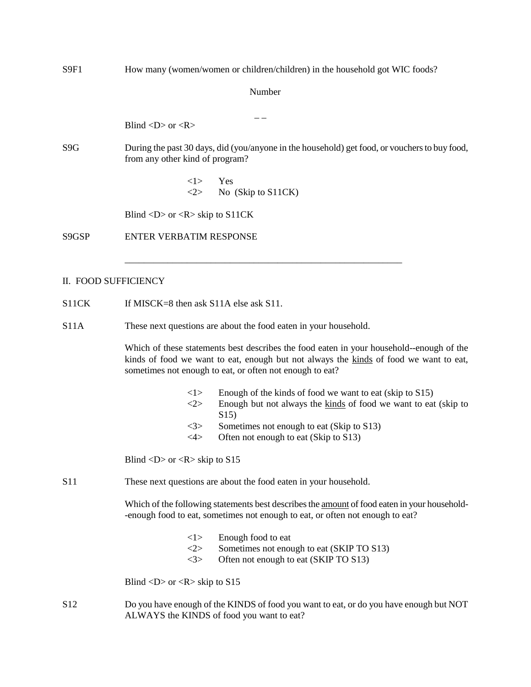| S9F1                 | How many (women/women or children/children) in the household got WIC foods?                                                                                                                                                                   |
|----------------------|-----------------------------------------------------------------------------------------------------------------------------------------------------------------------------------------------------------------------------------------------|
|                      | Number                                                                                                                                                                                                                                        |
|                      | Blind $\langle D \rangle$ or $\langle R \rangle$                                                                                                                                                                                              |
| S <sub>9</sub> G     | During the past 30 days, did (you/anyone in the household) get food, or vouchers to buy food,<br>from any other kind of program?                                                                                                              |
|                      | <1><br>Yes<br>$<\!\!2\!\!>$<br>No (Skip to S11CK)                                                                                                                                                                                             |
|                      | Blind $\langle D \rangle$ or $\langle R \rangle$ skip to S11CK                                                                                                                                                                                |
| S9GSP                | <b>ENTER VERBATIM RESPONSE</b>                                                                                                                                                                                                                |
|                      |                                                                                                                                                                                                                                               |
| II. FOOD SUFFICIENCY |                                                                                                                                                                                                                                               |
| S11CK                | If MISCK=8 then ask $S11A$ else ask $S11$ .                                                                                                                                                                                                   |
| <b>S11A</b>          | These next questions are about the food eaten in your household.                                                                                                                                                                              |
|                      | Which of these statements best describes the food eaten in your household--enough of the<br>kinds of food we want to eat, enough but not always the kinds of food we want to eat,<br>sometimes not enough to eat, or often not enough to eat? |
|                      | Enough of the kinds of food we want to eat (skip to S15)<br><1><br>2><br>Enough but not always the kinds of food we want to eat (skip to                                                                                                      |
|                      | S <sub>15</sub><br>Sometimes not enough to eat (Skip to S13)<br>$<$ 3>                                                                                                                                                                        |
|                      | Often not enough to eat (Skip to S13)<br>4>                                                                                                                                                                                                   |
|                      | Blind <d> or <r> skip to <math>S15</math></r></d>                                                                                                                                                                                             |
| <b>S11</b>           | These next questions are about the food eaten in your household.                                                                                                                                                                              |
|                      | Which of the following statements best describes the <u>amount</u> of food eaten in your household-<br>-enough food to eat, sometimes not enough to eat, or often not enough to eat?                                                          |
|                      | Enough food to eat<br><1>                                                                                                                                                                                                                     |
|                      | $<\!\!2\!\!>$<br>Sometimes not enough to eat (SKIP TO S13)<br>Often not enough to eat (SKIP TO S13)<br><3>                                                                                                                                    |
|                      | Blind <d> or <r> skip to <math>S15</math></r></d>                                                                                                                                                                                             |
| S12                  | Do you have enough of the KINDS of food you want to eat, or do you have enough but NOT<br>ALWAYS the KINDS of food you want to eat?                                                                                                           |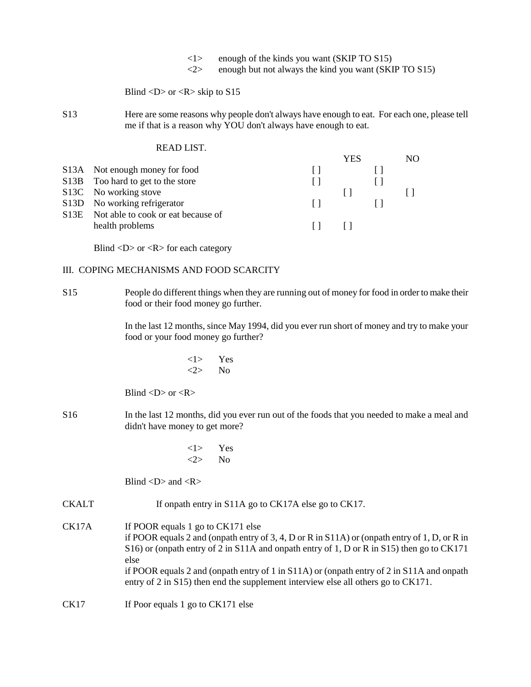- $\langle$ 1> enough of the kinds you want (SKIP TO S15)
- $\langle 2 \rangle$  enough but not always the kind you want (SKIP TO S15)

Blind  $\langle D \rangle$  or  $\langle R \rangle$  skip to S15

S13 Here are some reasons why people don't always have enough to eat. For each one, please tell me if that is a reason why YOU don't always have enough to eat.

| READ LIST.                              |         |     |     |
|-----------------------------------------|---------|-----|-----|
|                                         |         | YES | NO. |
| S13A Not enough money for food          | $\perp$ |     |     |
| S13B Too hard to get to the store       |         |     |     |
| S13C No working stove                   |         |     |     |
| S13D No working refrigerator            |         |     |     |
| S13E Not able to cook or eat because of |         |     |     |
| health problems                         |         |     |     |
|                                         |         |     |     |

Blind  $\langle D \rangle$  or  $\langle R \rangle$  for each category

### III. COPING MECHANISMS AND FOOD SCARCITY

S15 People do different things when they are running out of money for food in order to make their food or their food money go further.

> In the last 12 months, since May 1994, did you ever run short of money and try to make your food or your food money go further?

$$
\begin{array}{cc} < 1 > & \text{Yes} \\ < 2 > & \text{No} \end{array}
$$

Blind  $\langle D \rangle$  or  $\langle R \rangle$ 

- S16 In the last 12 months, did you ever run out of the foods that you needed to make a meal and didn't have money to get more?
	- <1> Yes <2> No

Blind  $\langle D \rangle$  and  $\langle R \rangle$ 

CKALT If onpath entry in S11A go to CK17A else go to CK17.

CK17A If POOR equals 1 go to CK171 else if POOR equals 2 and (onpath entry of 3, 4, D or R in S11A) or (onpath entry of 1, D, or R in S16) or (onpath entry of 2 in S11A and onpath entry of 1, D or R in S15) then go to CK171 else if POOR equals 2 and (onpath entry of 1 in S11A) or (onpath entry of 2 in S11A and onpath entry of 2 in S15) then end the supplement interview else all others go to CK171.

CK17 If Poor equals 1 go to CK171 else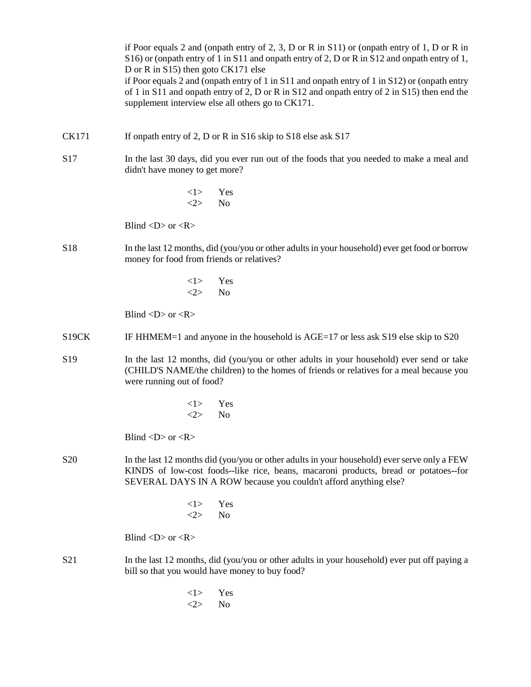if Poor equals 2 and (onpath entry of 2, 3, D or R in S11) or (onpath entry of 1, D or R in S16) or (onpath entry of 1 in S11 and onpath entry of 2, D or R in S12 and onpath entry of 1, D or R in S15) then goto CK171 else if Poor equals 2 and (onpath entry of 1 in S11 and onpath entry of 1 in S12) or (onpath entry of 1 in S11 and onpath entry of 2, D or R in S12 and onpath entry of 2 in S15) then end the supplement interview else all others go to CK171.

- CK171 If onpath entry of 2, D or R in S16 skip to S18 else ask S17
- S17 In the last 30 days, did you ever run out of the foods that you needed to make a meal and didn't have money to get more?

<1> Yes  $\langle 2 \rangle$  No

Blind  $\langle D \rangle$  or  $\langle R \rangle$ 

- S18 In the last 12 months, did (you/you or other adults in your household) ever get food or borrow money for food from friends or relatives?
	- <1> Yes  $\langle 2 \rangle$  No

Blind  $\langle D \rangle$  or  $\langle R \rangle$ 

- S19CK IF HHMEM=1 and anyone in the household is AGE=17 or less ask S19 else skip to S20
- S19 In the last 12 months, did (you/you or other adults in your household) ever send or take (CHILD'S NAME/the children) to the homes of friends or relatives for a meal because you were running out of food?
	- <1> Yes <2> No

Blind  $\langle D \rangle$  or  $\langle R \rangle$ 

- S20 In the last 12 months did (you/you or other adults in your household) ever serve only a FEW KINDS of low-cost foods--like rice, beans, macaroni products, bread or potatoes--for SEVERAL DAYS IN A ROW because you couldn't afford anything else?
	- <1> Yes <2> No

Blind  $\langle D \rangle$  or  $\langle R \rangle$ 

- S21 In the last 12 months, did (you/you or other adults in your household) ever put off paying a bill so that you would have money to buy food?
	- <1> Yes <2> No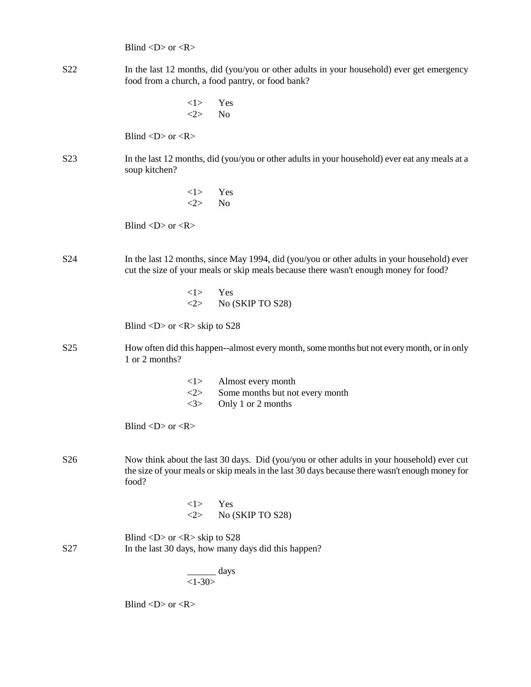Blind  $\langle D \rangle$  or  $\langle R \rangle$ 

S22 In the last 12 months, did (you/you or other adults in your household) ever get emergency food from a church, a food pantry, or food bank?

> <1> Yes  $\langle 2 \rangle$  No

Blind  $\langle D \rangle$  or  $\langle R \rangle$ 

- S23 In the last 12 months, did (you/you or other adults in your household) ever eat any meals at a soup kitchen?
	- <1> Yes  $\langle 2 \rangle$  No

Blind  $\langle D \rangle$  or  $\langle R \rangle$ 

- S24 In the last 12 months, since May 1994, did (you/you or other adults in your household) ever cut the size of your meals or skip meals because there wasn't enough money for food?
	- <1> Yes  $\langle 2 \rangle$  No (SKIP TO S28)

Blind  $\langle D \rangle$  or  $\langle R \rangle$  skip to S28

- S25 How often did this happen--almost every month, some months but not every month, or in only 1 or 2 months?
	- <1> Almost every month
	- <2> Some months but not every month
	- <3> Only 1 or 2 months

Blind  $\langle D \rangle$  or  $\langle R \rangle$ 

- S26 Now think about the last 30 days. Did (you/you or other adults in your household) ever cut the size of your meals or skip meals in the last 30 days because there wasn't enough money for food?
	- <1> Yes <2> No (SKIP TO S28)

Blind  $\langle D \rangle$  or  $\langle R \rangle$  skip to S28 S27 In the last 30 days, how many days did this happen?

> \_\_\_\_\_\_ days  $<1 - 30$

Blind  $\langle D \rangle$  or  $\langle R \rangle$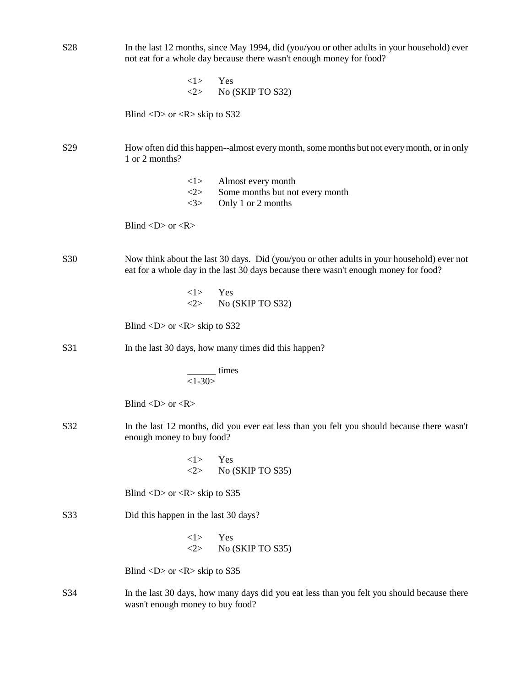| S <sub>28</sub> | In the last 12 months, since May 1994, did (you/you or other adults in your household) ever<br>not eat for a whole day because there wasn't enough money for food?                |  |
|-----------------|-----------------------------------------------------------------------------------------------------------------------------------------------------------------------------------|--|
|                 | <1><br>Yes<br><2><br>No (SKIP TO S32)                                                                                                                                             |  |
|                 | Blind <d> or <r> skip to <math>S32</math></r></d>                                                                                                                                 |  |
| S <sub>29</sub> | How often did this happen--almost every month, some months but not every month, or in only<br>1 or 2 months?                                                                      |  |
|                 | Almost every month<br><1><br>2><br>Some months but not every month<br><3><br>Only 1 or 2 months                                                                                   |  |
|                 | Blind < $D$ > or < $R$ >                                                                                                                                                          |  |
| S30             | Now think about the last 30 days. Did (you/you or other adults in your household) ever not<br>eat for a whole day in the last 30 days because there wasn't enough money for food? |  |
|                 | <1><br>Yes<br>$<\!\!2\!\!>$<br>No (SKIP TO S32)                                                                                                                                   |  |
|                 | Blind $\langle D \rangle$ or $\langle R \rangle$ skip to S32                                                                                                                      |  |
| S31             | In the last 30 days, how many times did this happen?                                                                                                                              |  |
|                 | $\frac{1}{1-30}$ times                                                                                                                                                            |  |
|                 | Blind < $D$ > or < $R$ >                                                                                                                                                          |  |
| S32             | In the last 12 months, did you ever eat less than you felt you should because there wasn't<br>enough money to buy food?                                                           |  |
|                 | <1><br>Yes<br><2><br>No (SKIP TO S35)                                                                                                                                             |  |
|                 | Blind $\langle D \rangle$ or $\langle R \rangle$ skip to S35                                                                                                                      |  |
| S33             | Did this happen in the last 30 days?                                                                                                                                              |  |
|                 | Yes<br><1><br>2><br>No (SKIP TO S35)                                                                                                                                              |  |
|                 | Blind <d> or <r> skip to <math>S35</math></r></d>                                                                                                                                 |  |
| S34             | In the last 30 days, how many days did you eat less than you felt you should because there<br>wasn't enough money to buy food?                                                    |  |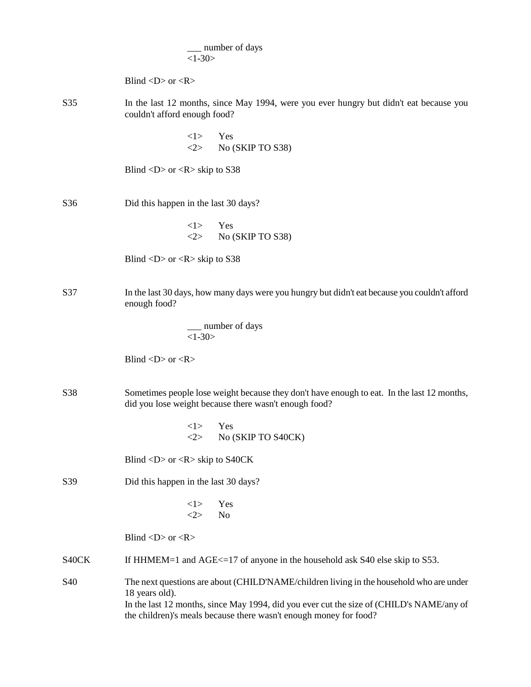|                 | number of days<br>$<1-30>$                                                                                                                                                                                                                                                 |
|-----------------|----------------------------------------------------------------------------------------------------------------------------------------------------------------------------------------------------------------------------------------------------------------------------|
|                 | Blind $\langle D \rangle$ or $\langle R \rangle$                                                                                                                                                                                                                           |
| S35             | In the last 12 months, since May 1994, were you ever hungry but didn't eat because you<br>couldn't afford enough food?                                                                                                                                                     |
|                 | Yes<br><1><br>$<2>$ No (SKIP TO S38)                                                                                                                                                                                                                                       |
|                 | Blind $\langle D \rangle$ or $\langle R \rangle$ skip to S38                                                                                                                                                                                                               |
| S36             | Did this happen in the last 30 days?                                                                                                                                                                                                                                       |
|                 | <1><br>Yes<br><2><br>No (SKIP TO S38)                                                                                                                                                                                                                                      |
|                 | Blind <d> or <r> skip to <math>S38</math></r></d>                                                                                                                                                                                                                          |
| S37             | In the last 30 days, how many days were you hungry but didn't eat because you couldn't afford<br>enough food?                                                                                                                                                              |
|                 | __ number of days<br>$<1-30>$                                                                                                                                                                                                                                              |
|                 | Blind < $D$ > or < $R$ >                                                                                                                                                                                                                                                   |
| S38             | Sometimes people lose weight because they don't have enough to eat. In the last 12 months,<br>did you lose weight because there wasn't enough food?                                                                                                                        |
|                 | $\langle 1 \rangle$ Yes<br>No (SKIP TO S40CK)<br><2>                                                                                                                                                                                                                       |
|                 | Blind $\langle D \rangle$ or $\langle R \rangle$ skip to S40CK                                                                                                                                                                                                             |
| S39             | Did this happen in the last 30 days?                                                                                                                                                                                                                                       |
|                 | <1><br>Yes<br>2><br>No                                                                                                                                                                                                                                                     |
|                 | Blind < $D$ > or < $R$ >                                                                                                                                                                                                                                                   |
| S40CK           | If HHMEM=1 and AGE $\le$ =17 of anyone in the household ask S40 else skip to S53.                                                                                                                                                                                          |
| S <sub>40</sub> | The next questions are about (CHILD'NAME/children living in the household who are under<br>18 years old).<br>In the last 12 months, since May 1994, did you ever cut the size of (CHILD's NAME/any of<br>the children)'s meals because there wasn't enough money for food? |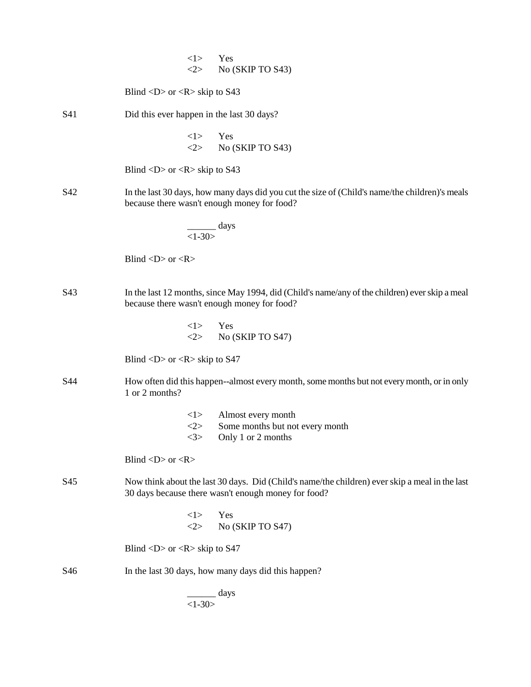|     |                                                              | <1><br>2              | Yes<br>No (SKIP TO S43)                                                                                                                               |
|-----|--------------------------------------------------------------|-----------------------|-------------------------------------------------------------------------------------------------------------------------------------------------------|
|     | Blind $\langle D \rangle$ or $\langle R \rangle$ skip to S43 |                       |                                                                                                                                                       |
| S41 |                                                              |                       | Did this ever happen in the last 30 days?                                                                                                             |
|     |                                                              | <1>                   | Yes<br>$\langle 2 \rangle$ No (SKIP TO S43)                                                                                                           |
|     | Blind <d> or <r> skip to <math>S43</math></r></d>            |                       |                                                                                                                                                       |
| S42 |                                                              |                       | In the last 30 days, how many days did you cut the size of (Child's name/the children)'s meals<br>because there wasn't enough money for food?         |
|     |                                                              | $\frac{1}{1-30}$ days |                                                                                                                                                       |
|     | Blind < $D$ > or < $R$ >                                     |                       |                                                                                                                                                       |
| S43 |                                                              |                       | In the last 12 months, since May 1994, did (Child's name/any of the children) ever skip a meal<br>because there wasn't enough money for food?         |
|     |                                                              | $<1>$ Yes             | $<$ 2> No (SKIP TO S47)                                                                                                                               |
|     | Blind <d> or <r> skip to <math>S47</math></r></d>            |                       |                                                                                                                                                       |
| S44 | 1 or 2 months?                                               |                       | How often did this happen--almost every month, some months but not every month, or in only                                                            |
|     |                                                              | < l >                 | Almost every month                                                                                                                                    |
|     |                                                              | <2><br>3>             | Some months but not every month<br>Only 1 or 2 months                                                                                                 |
|     | Blind < $D$ > or < $R$ >                                     |                       |                                                                                                                                                       |
| S45 |                                                              |                       | Now think about the last 30 days. Did (Child's name/the children) ever skip a meal in the last<br>30 days because there wasn't enough money for food? |
|     |                                                              | <1><br>2              | Yes<br>No (SKIP TO S47)                                                                                                                               |
|     | Blind <d> or <r> skip to <math>S47</math></r></d>            |                       |                                                                                                                                                       |
| S46 |                                                              |                       | In the last 30 days, how many days did this happen?                                                                                                   |
|     |                                                              | $1-30>$               | ____ days                                                                                                                                             |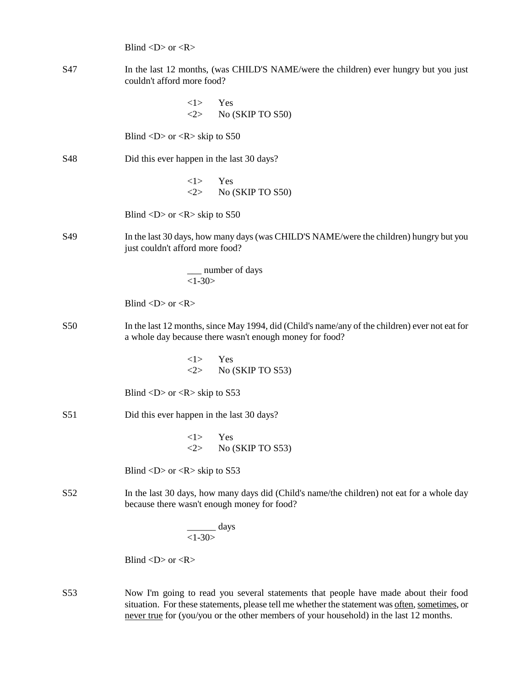|                 | Blind < $D$ > or < $R$ >                                                                                                                                  |
|-----------------|-----------------------------------------------------------------------------------------------------------------------------------------------------------|
| S47             | In the last 12 months, (was CHILD'S NAME/were the children) ever hungry but you just<br>couldn't afford more food?                                        |
|                 | <1><br>Yes<br><2><br>No (SKIP TO S50)                                                                                                                     |
|                 | Blind <d> or <r> skip to <math>S50</math></r></d>                                                                                                         |
| S48             | Did this ever happen in the last 30 days?                                                                                                                 |
|                 | Yes<br>$\langle 1 \rangle$<br><2><br>No (SKIP TO S50)                                                                                                     |
|                 | Blind <d> or <r> skip to <math>S50</math></r></d>                                                                                                         |
| S49             | In the last 30 days, how many days (was CHILD'S NAME/were the children) hungry but you<br>just couldn't afford more food?                                 |
|                 | __ number of days<br>$<1-30>$                                                                                                                             |
|                 | Blind < $D$ > or < $R$ >                                                                                                                                  |
| S50             | In the last 12 months, since May 1994, did (Child's name/any of the children) ever not eat for<br>a whole day because there wasn't enough money for food? |
|                 | <1><br>Yes<br><2><br>No (SKIP TO S53)                                                                                                                     |
|                 | Blind $\langle D \rangle$ or $\langle R \rangle$ skip to S53                                                                                              |
| S51             | Did this ever happen in the last 30 days?                                                                                                                 |
|                 | <1><br>Yes<br>$<\!\!2\!\!>$<br>No (SKIP TO S53)                                                                                                           |
|                 | Blind $\langle D \rangle$ or $\langle R \rangle$ skip to S53                                                                                              |
| S <sub>52</sub> | In the last 30 days, how many days did (Child's name/the children) not eat for a whole day<br>because there wasn't enough money for food?                 |
|                 | $\frac{days}{1-30>}$                                                                                                                                      |
|                 | Blind < $D$ > or < $R$ >                                                                                                                                  |
| S53             | Now I'm going to read you several statements that people have made about their food                                                                       |

situation. For these statements, please tell me whether the statement was often, sometimes, or never true for (you/you or the other members of your household) in the last 12 months.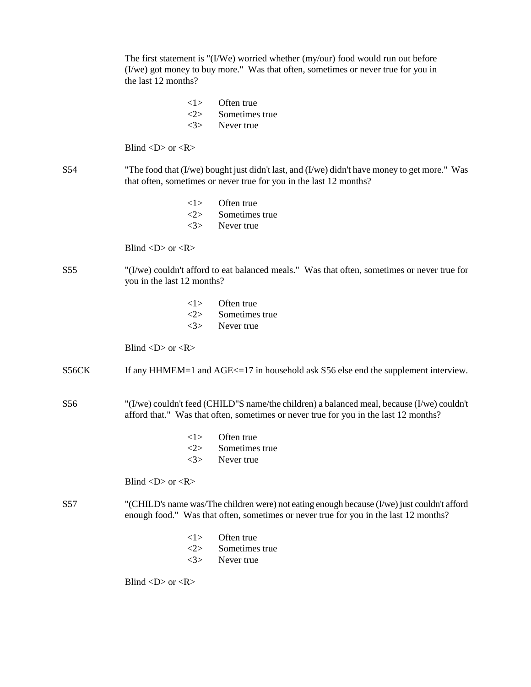|                 | The first statement is " $(1/We)$ worried whether $(my/our)$ food would run out before<br>(I/we) got money to buy more." Was that often, sometimes or never true for you in<br>the last 12 months? |
|-----------------|----------------------------------------------------------------------------------------------------------------------------------------------------------------------------------------------------|
|                 | Often true<br><1><br><2><br>Sometimes true<br><3><br>Never true                                                                                                                                    |
|                 | Blind $\langle D \rangle$ or $\langle R \rangle$                                                                                                                                                   |
| S <sub>54</sub> | "The food that (I/we) bought just didn't last, and (I/we) didn't have money to get more." Was<br>that often, sometimes or never true for you in the last 12 months?                                |
|                 | Often true<br><1><br>Sometimes true<br><2><br><3><br>Never true                                                                                                                                    |
|                 | Blind $\langle D \rangle$ or $\langle R \rangle$                                                                                                                                                   |
| S <sub>55</sub> | "(I/we) couldn't afford to eat balanced meals." Was that often, sometimes or never true for<br>you in the last 12 months?                                                                          |
|                 | Often true<br><1><br>$<\!\!2\!\!>$<br>Sometimes true<br><3><br>Never true                                                                                                                          |
|                 | Blind < $D$ > or < $R$ >                                                                                                                                                                           |
| S56CK           | If any HHMEM=1 and AGE $\le$ =17 in household ask S56 else end the supplement interview.                                                                                                           |
| S56             | "(I/we) couldn't feed (CHILD"S name/the children) a balanced meal, because (I/we) couldn't<br>afford that." Was that often, sometimes or never true for you in the last 12 months?                 |
|                 | Often true<br><1><br><2><br>Sometimes true<br>3><br>Never true                                                                                                                                     |
|                 | Blind < $D$ > or < $R$ >                                                                                                                                                                           |
| S57             | "(CHILD's name was/The children were) not eating enough because (I/we) just couldn't afford<br>enough food." Was that often, sometimes or never true for you in the last 12 months?                |
|                 | Often true<br><1><br><2><br>Sometimes true<br><3><br>Never true                                                                                                                                    |
|                 | Blind < $D$ > or < $R$ >                                                                                                                                                                           |